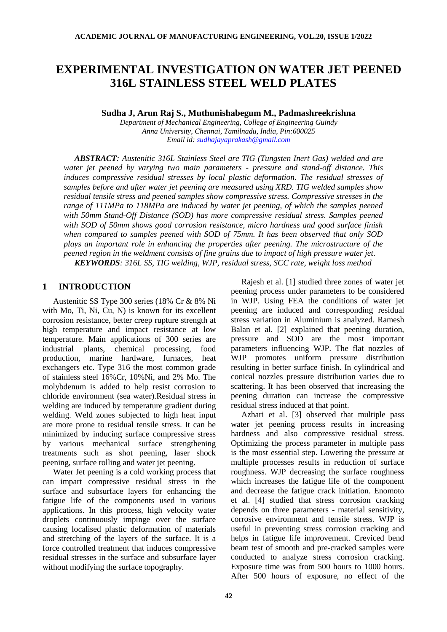# **EXPERIMENTAL INVESTIGATION ON WATER JET PEENED 316L STAINLESS STEEL WELD PLATES**

**Sudha J, Arun Raj S., Muthunishabegum M., Padmashreekrishna**

*Department of Mechanical Engineering, College of Engineering Guindy Anna University, Chennai, Tamilnadu, India, Pin:600025 Email id: [sudhajayaprakash@gmail.com](mailto:sudhajayaprakash@gmail.com)*

*ABSTRACT: Austenitic 316L Stainless Steel are TIG (Tungsten Inert Gas) welded and are water jet peened by varying two main parameters - pressure and stand-off distance. This induces compressive residual stresses by local plastic deformation. The residual stresses of samples before and after water jet peening are measured using XRD. TIG welded samples show residual tensile stress and peened samples show compressive stress. Compressive stresses in the range of 111MPa to 118MPa are induced by water jet peening, of which the samples peened with 50mm Stand-Off Distance (SOD) has more compressive residual stress. Samples peened with SOD of 50mm shows good corrosion resistance, micro hardness and good surface finish when compared to samples peened with SOD of 75mm. It has been observed that only SOD plays an important role in enhancing the properties after peening. The microstructure of the peened region in the weldment consists of fine grains due to impact of high pressure water jet. KEYWORDS: 316L SS, TIG welding, WJP, residual stress, SCC rate, weight loss method*

# **1 INTRODUCTION**

Austenitic SS Type 300 series (18% Cr & 8% Ni with Mo, Ti, Ni, Cu, N) is known for its excellent corrosion resistance, better creep rupture strength at high temperature and impact resistance at low temperature. Main applications of 300 series are industrial plants, chemical processing, food production, marine hardware, furnaces, heat exchangers etc. Type 316 the most common grade of stainless steel 16%Cr, 10%Ni, and 2% Mo. The molybdenum is added to help resist corrosion to chloride environment (sea water).Residual stress in welding are induced by temperature gradient during welding. Weld zones subjected to high heat input are more prone to residual tensile stress. It can be minimized by inducing surface compressive stress by various mechanical surface strengthening treatments such as shot peening, laser shock peening, surface rolling and water jet peening.

Water Jet peening is a cold working process that can impart compressive residual stress in the surface and subsurface layers for enhancing the fatigue life of the components used in various applications. In this process, high velocity water droplets continuously impinge over the surface causing localised plastic deformation of materials and stretching of the layers of the surface. It is a force controlled treatment that induces compressive residual stresses in the surface and subsurface layer without modifying the surface topography.

Rajesh et al. [1] studied three zones of water jet peening process under parameters to be considered in WJP. Using FEA the conditions of water jet peening are induced and corresponding residual stress variation in Aluminium is analyzed. Ramesh Balan et al. [2] explained that peening duration, pressure and SOD are the most important parameters influencing WJP. The flat nozzles of WJP promotes uniform pressure distribution resulting in better surface finish. In cylindrical and conical nozzles pressure distribution varies due to scattering. It has been observed that increasing the peening duration can increase the compressive residual stress induced at that point.

Azhari et al. [3] observed that multiple pass water jet peening process results in increasing hardness and also compressive residual stress. Optimizing the process parameter in multiple pass is the most essential step. Lowering the pressure at multiple processes results in reduction of surface roughness. WJP decreasing the surface roughness which increases the fatigue life of the component and decrease the fatigue crack initiation. Enomoto et al. [4] studied that stress corrosion cracking depends on three parameters - material sensitivity, corrosive environment and tensile stress. WJP is useful in preventing stress corrosion cracking and helps in fatigue life improvement. Creviced bend beam test of smooth and pre-cracked samples were conducted to analyze stress corrosion cracking. Exposure time was from 500 hours to 1000 hours. After 500 hours of exposure, no effect of the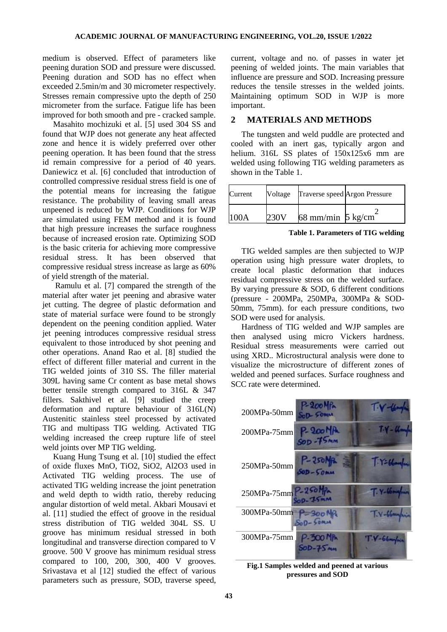medium is observed. Effect of parameters like peening duration SOD and pressure were discussed. Peening duration and SOD has no effect when exceeded 2.5min/m and 30 micrometer respectively. Stresses remain compressive upto the depth of 250 micrometer from the surface. Fatigue life has been improved for both smooth and pre - cracked sample.

Masahito mochizuki et al. [5] used 304 SS and found that WJP does not generate any heat affected zone and hence it is widely preferred over other peening operation. It has been found that the stress id remain compressive for a period of 40 years. Daniewicz et al. [6] concluded that introduction of controlled compressive residual stress field is one of the potential means for increasing the fatigue resistance. The probability of leaving small areas unpeened is reduced by WJP. Conditions for WJP are simulated using FEM method and it is found that high pressure increases the surface roughness because of increased erosion rate. Optimizing SOD is the basic criteria for achieving more compressive residual stress. It has been observed that compressive residual stress increase as large as 60% of yield strength of the material.

Ramulu et al. [7] compared the strength of the material after water jet peening and abrasive water jet cutting. The degree of plastic deformation and state of material surface were found to be strongly dependent on the peening condition applied. Water jet peening introduces compressive residual stress equivalent to those introduced by shot peening and other operations. Anand Rao et al. [8] studied the effect of different filler material and current in the TIG welded joints of 310 SS. The filler material 309L having same Cr content as base metal shows better tensile strength compared to 316L & 347 fillers. Sakthivel et al. [9] studied the creep deformation and rupture behaviour of 316L(N) Austenitic stainless steel processed by activated TIG and multipass TIG welding. Activated TIG welding increased the creep rupture life of steel weld joints over MP TIG welding.

Kuang Hung Tsung et al. [10] studied the effect of oxide fluxes MnO, TiO2, SiO2, Al2O3 used in Activated TIG welding process. The use of activated TIG welding increase the joint penetration and weld depth to width ratio, thereby reducing angular distortion of weld metal. Akbari Mousavi et al. [11] studied the effect of groove in the residual stress distribution of TIG welded 304L SS. U groove has minimum residual stressed in both longitudinal and transverse direction compared to V groove. 500 V groove has minimum residual stress compared to 100, 200, 300, 400 V grooves. Srivastava et al [12] studied the effect of various parameters such as pressure, SOD, traverse speed,

current, voltage and no. of passes in water jet peening of welded joints. The main variables that influence are pressure and SOD. Increasing pressure reduces the tensile stresses in the welded joints. Maintaining optimum SOD in WJP is more important.

# **2 MATERIALS AND METHODS**

The tungsten and weld puddle are protected and cooled with an inert gas, typically argon and helium. 316L SS plates of  $150x125x6$  mm are welded using following TIG welding parameters as shown in the Table 1.

| Current | Voltage |                             | Traverse speed Argon Pressure |
|---------|---------|-----------------------------|-------------------------------|
|         |         | 68 mm/min $5 \text{ kg/cm}$ |                               |

**Table 1. Parameters of TIG welding** 

TIG welded samples are then subjected to WJP operation using high pressure water droplets, to create local plastic deformation that induces residual compressive stress on the welded surface. By varying pressure  $\&$  SOD, 6 different conditions (pressure - 200MPa, 250MPa, 300MPa & SOD-50mm, 75mm). for each pressure conditions, two SOD were used for analysis.

Hardness of TIG welded and WJP samples are then analysed using micro Vickers hardness. Residual stress measurements were carried out using XRD.. Microstructural analysis were done to visualize the microstructure of different zones of welded and peened surfaces. Surface roughness and SCC rate were determined.



**Fig.1 Samples welded and peened at various pressures and SOD**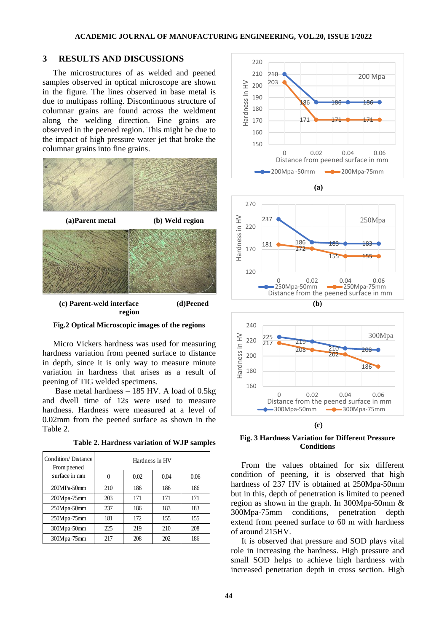# **3 RESULTS AND DISCUSSIONS**

The microstructures of as welded and peened samples observed in optical microscope are shown in the figure. The lines observed in base metal is due to multipass rolling. Discontinuous structure of columnar grains are found across the weldment along the welding direction. Fine grains are observed in the peened region. This might be due to the impact of high pressure water jet that broke the columnar grains into fine grains.



**Fig.2 Optical Microscopic images of the regions**

Micro Vickers hardness was used for measuring hardness variation from peened surface to distance in depth, since it is only way to measure minute variation in hardness that arises as a result of peening of TIG welded specimens.

Base metal hardness – 185 HV. A load of 0.5kg and dwell time of 12s were used to measure hardness. Hardness were measured at a level of 0.02mm from the peened surface as shown in the Table 2.

**Table 2. Hardness variation of WJP samples**

| Condition/Distance<br>From peened | Hardness in HV |      |      |      |  |  |
|-----------------------------------|----------------|------|------|------|--|--|
| surface in mm                     |                | 0.02 | 0.04 | 0.06 |  |  |
| 200MPa-50mm                       | 210            | 186  | 186  | 186  |  |  |
| 200Mpa-75mm                       | 203            | 171  | 171  | 171  |  |  |
| 250Mpa-50mm                       | 237            | 186  | 183  | 183  |  |  |
| 250Mpa-75mm                       | 181            | 172  | 155  | 155  |  |  |
| 300Mpa-50mm                       | 225            | 219  | 210  | 208  |  |  |
| $300Mpa-75mm$                     | 217            | 208  | 202  | 186  |  |  |



**Fig. 3 Hardness Variation for Different Pressure Conditions**

From the values obtained for six different condition of peening, it is observed that high hardness of 237 HV is obtained at 250Mpa-50mm but in this, depth of penetration is limited to peened region as shown in the graph. In 300Mpa-50mm & 300Mpa-75mm conditions, penetration depth extend from peened surface to 60 m with hardness of around 215HV.

It is observed that pressure and SOD plays vital role in increasing the hardness. High pressure and small SOD helps to achieve high hardness with increased penetration depth in cross section. High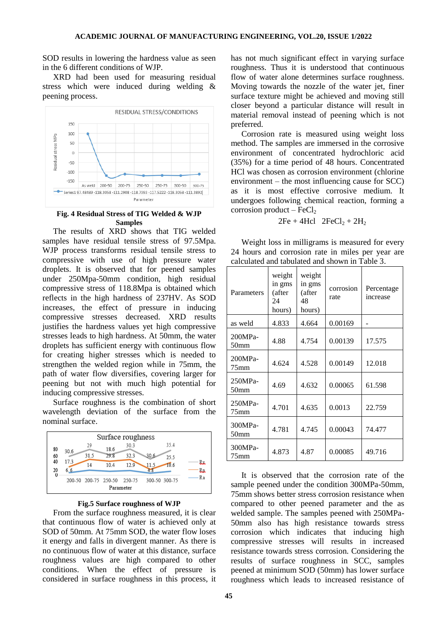SOD results in lowering the hardness value as seen in the 6 different conditions of WJP.

XRD had been used for measuring residual stress which were induced during welding & peening process.



#### **Fig. 4 Residual Stress of TIG Welded & WJP Samples**

The results of XRD shows that TIG welded samples have residual tensile stress of 97.5Mpa. WJP process transforms residual tensile stress to compressive with use of high pressure water droplets. It is observed that for peened samples under 250Mpa-50mm condition, high residual compressive stress of 118.8Mpa is obtained which reflects in the high hardness of 237HV. As SOD increases, the effect of pressure in inducing compressive stresses decreased. XRD results justifies the hardness values yet high compressive stresses leads to high hardness. At 50mm, the water droplets has sufficient energy with continuous flow for creating higher stresses which is needed to strengthen the welded region while in 75mm, the path of water flow diversifies, covering larger for peening but not with much high potential for inducing compressive stresses.

Surface roughness is the combination of short wavelength deviation of the surface from the nominal surface.



**Fig.5 Surface roughness of WJP**

From the surface roughness measured, it is clear that continuous flow of water is achieved only at SOD of 50mm. At 75mm SOD, the water flow loses it energy and falls in divergent manner. As there is no continuous flow of water at this distance, surface roughness values are high compared to other conditions. When the effect of pressure is considered in surface roughness in this process, it

has not much significant effect in varying surface roughness. Thus it is understood that continuous flow of water alone determines surface roughness. Moving towards the nozzle of the water jet, finer surface texture might be achieved and moving still closer beyond a particular distance will result in material removal instead of peening which is not preferred.

Corrosion rate is measured using weight loss method. The samples are immersed in the corrosive environment of concentrated hydrochloric acid (35%) for a time period of 48 hours. Concentrated HCl was chosen as corrosion environment (chlorine environment – the most influencing cause for SCC) as it is most effective corrosive medium. It undergoes following chemical reaction, forming a corrosion product –  $FeCl<sub>2</sub>$ 

$$
2Fe + 4Hcl \quad 2FeCl_2 + 2H_2
$$

Weight loss in milligrams is measured for every 24 hours and corrosion rate in miles per year are calculated and tabulated and shown in Table 3.

| Parameters                    | weight<br>in gms<br>(after<br>24<br>hours) | weight<br>in gms<br>(after<br>48<br>hours) | corrosion<br>rate | Percentage<br>increase |
|-------------------------------|--------------------------------------------|--------------------------------------------|-------------------|------------------------|
| as weld                       | 4.833                                      | 4.664                                      | 0.00169           |                        |
| $200MPa-$<br>50 <sub>mm</sub> | 4.88                                       | 4.754                                      | 0.00139           | 17.575                 |
| 200MPa-<br>$75$ mm            | 4.624                                      | 4.528                                      | 0.00149           | 12.018                 |
| 250MPa-<br>50 <sub>mm</sub>   | 4.69                                       | 4.632                                      | 0.00065           | 61.598                 |
| 250MPa-<br>$75$ mm            | 4.701                                      | 4.635                                      | 0.0013            | 22.759                 |
| 300MPa-<br>50 <sub>mm</sub>   | 4.781                                      | 4.745                                      | 0.00043           | 74.477                 |
| 300MPa-<br>75mm               | 4.873                                      | 4.87                                       | 0.00085           | 49.716                 |

It is observed that the corrosion rate of the sample peened under the condition 300MPa-50mm, 75mm shows better stress corrosion resistance when compared to other peened parameter and the as welded sample. The samples peened with 250MPa-50mm also has high resistance towards stress corrosion which indicates that inducing high compressive stresses will results in increased resistance towards stress corrosion. Considering the results of surface roughness in SCC, samples peened at minimum SOD (50mm) has lower surface roughness which leads to increased resistance of